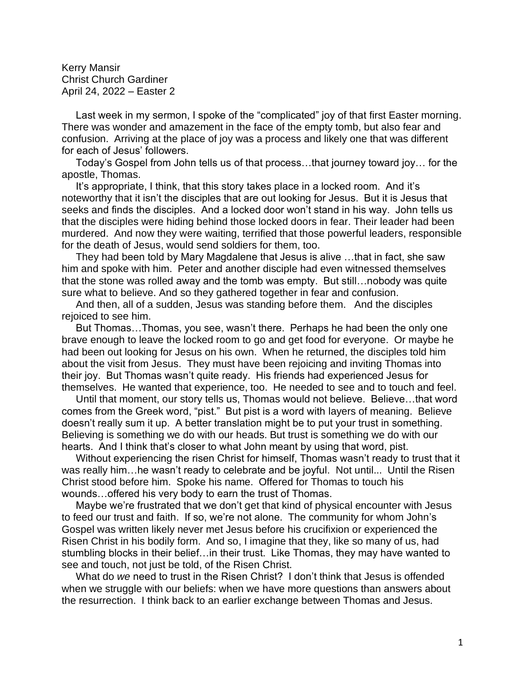Kerry Mansir Christ Church Gardiner April 24, 2022 – Easter 2

 Last week in my sermon, I spoke of the "complicated" joy of that first Easter morning. There was wonder and amazement in the face of the empty tomb, but also fear and confusion. Arriving at the place of joy was a process and likely one that was different for each of Jesus' followers.

 Today's Gospel from John tells us of that process…that journey toward joy… for the apostle, Thomas.

 It's appropriate, I think, that this story takes place in a locked room. And it's noteworthy that it isn't the disciples that are out looking for Jesus. But it is Jesus that seeks and finds the disciples. And a locked door won't stand in his way. John tells us that the disciples were hiding behind those locked doors in fear. Their leader had been murdered. And now they were waiting, terrified that those powerful leaders, responsible for the death of Jesus, would send soldiers for them, too.

 They had been told by Mary Magdalene that Jesus is alive …that in fact, she saw him and spoke with him. Peter and another disciple had even witnessed themselves that the stone was rolled away and the tomb was empty. But still…nobody was quite sure what to believe. And so they gathered together in fear and confusion.

 And then, all of a sudden, Jesus was standing before them. And the disciples rejoiced to see him.

 But Thomas…Thomas, you see, wasn't there. Perhaps he had been the only one brave enough to leave the locked room to go and get food for everyone. Or maybe he had been out looking for Jesus on his own. When he returned, the disciples told him about the visit from Jesus. They must have been rejoicing and inviting Thomas into their joy. But Thomas wasn't quite ready. His friends had experienced Jesus for themselves. He wanted that experience, too. He needed to see and to touch and feel.

 Until that moment, our story tells us, Thomas would not believe. Believe…that word comes from the Greek word, "pist." But pist is a word with layers of meaning. Believe doesn't really sum it up. A better translation might be to put your trust in something. Believing is something we do with our heads. But trust is something we do with our hearts. And I think that's closer to what John meant by using that word, pist.

 Without experiencing the risen Christ for himself, Thomas wasn't ready to trust that it was really him…he wasn't ready to celebrate and be joyful. Not until... Until the Risen Christ stood before him. Spoke his name. Offered for Thomas to touch his wounds…offered his very body to earn the trust of Thomas.

 Maybe we're frustrated that we don't get that kind of physical encounter with Jesus to feed our trust and faith. If so, we're not alone. The community for whom John's Gospel was written likely never met Jesus before his crucifixion or experienced the Risen Christ in his bodily form. And so, I imagine that they, like so many of us, had stumbling blocks in their belief…in their trust. Like Thomas, they may have wanted to see and touch, not just be told, of the Risen Christ.

 What do *we* need to trust in the Risen Christ? I don't think that Jesus is offended when we struggle with our beliefs: when we have more questions than answers about the resurrection. I think back to an earlier exchange between Thomas and Jesus.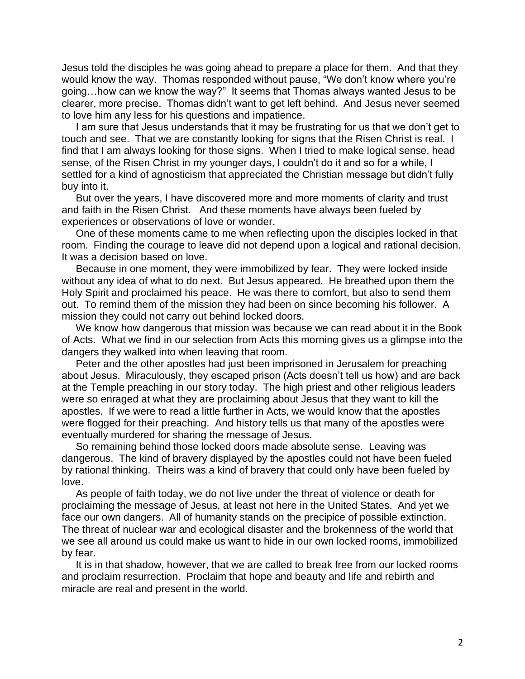Jesus told the disciples he was going ahead to prepare a place for them. And that they would know the way. Thomas responded without pause, "We don't know where you're going…how can we know the way?" It seems that Thomas always wanted Jesus to be clearer, more precise. Thomas didn't want to get left behind. And Jesus never seemed to love him any less for his questions and impatience.

 I am sure that Jesus understands that it may be frustrating for us that we don't get to touch and see. That we are constantly looking for signs that the Risen Christ is real. I find that I am always looking for those signs. When I tried to make logical sense, head sense, of the Risen Christ in my younger days, I couldn't do it and so for a while, I settled for a kind of agnosticism that appreciated the Christian message but didn't fully buy into it.

 But over the years, I have discovered more and more moments of clarity and trust and faith in the Risen Christ. And these moments have always been fueled by experiences or observations of love or wonder.

 One of these moments came to me when reflecting upon the disciples locked in that room. Finding the courage to leave did not depend upon a logical and rational decision. It was a decision based on love.

 Because in one moment, they were immobilized by fear. They were locked inside without any idea of what to do next. But Jesus appeared. He breathed upon them the Holy Spirit and proclaimed his peace. He was there to comfort, but also to send them out. To remind them of the mission they had been on since becoming his follower. A mission they could not carry out behind locked doors.

 We know how dangerous that mission was because we can read about it in the Book of Acts. What we find in our selection from Acts this morning gives us a glimpse into the dangers they walked into when leaving that room.

 Peter and the other apostles had just been imprisoned in Jerusalem for preaching about Jesus. Miraculously, they escaped prison (Acts doesn't tell us how) and are back at the Temple preaching in our story today. The high priest and other religious leaders were so enraged at what they are proclaiming about Jesus that they want to kill the apostles. If we were to read a little further in Acts, we would know that the apostles were flogged for their preaching. And history tells us that many of the apostles were eventually murdered for sharing the message of Jesus.

 So remaining behind those locked doors made absolute sense. Leaving was dangerous. The kind of bravery displayed by the apostles could not have been fueled by rational thinking. Theirs was a kind of bravery that could only have been fueled by love.

 As people of faith today, we do not live under the threat of violence or death for proclaiming the message of Jesus, at least not here in the United States. And yet we face our own dangers. All of humanity stands on the precipice of possible extinction. The threat of nuclear war and ecological disaster and the brokenness of the world that we see all around us could make us want to hide in our own locked rooms, immobilized by fear.

 It is in that shadow, however, that we are called to break free from our locked rooms and proclaim resurrection. Proclaim that hope and beauty and life and rebirth and miracle are real and present in the world.